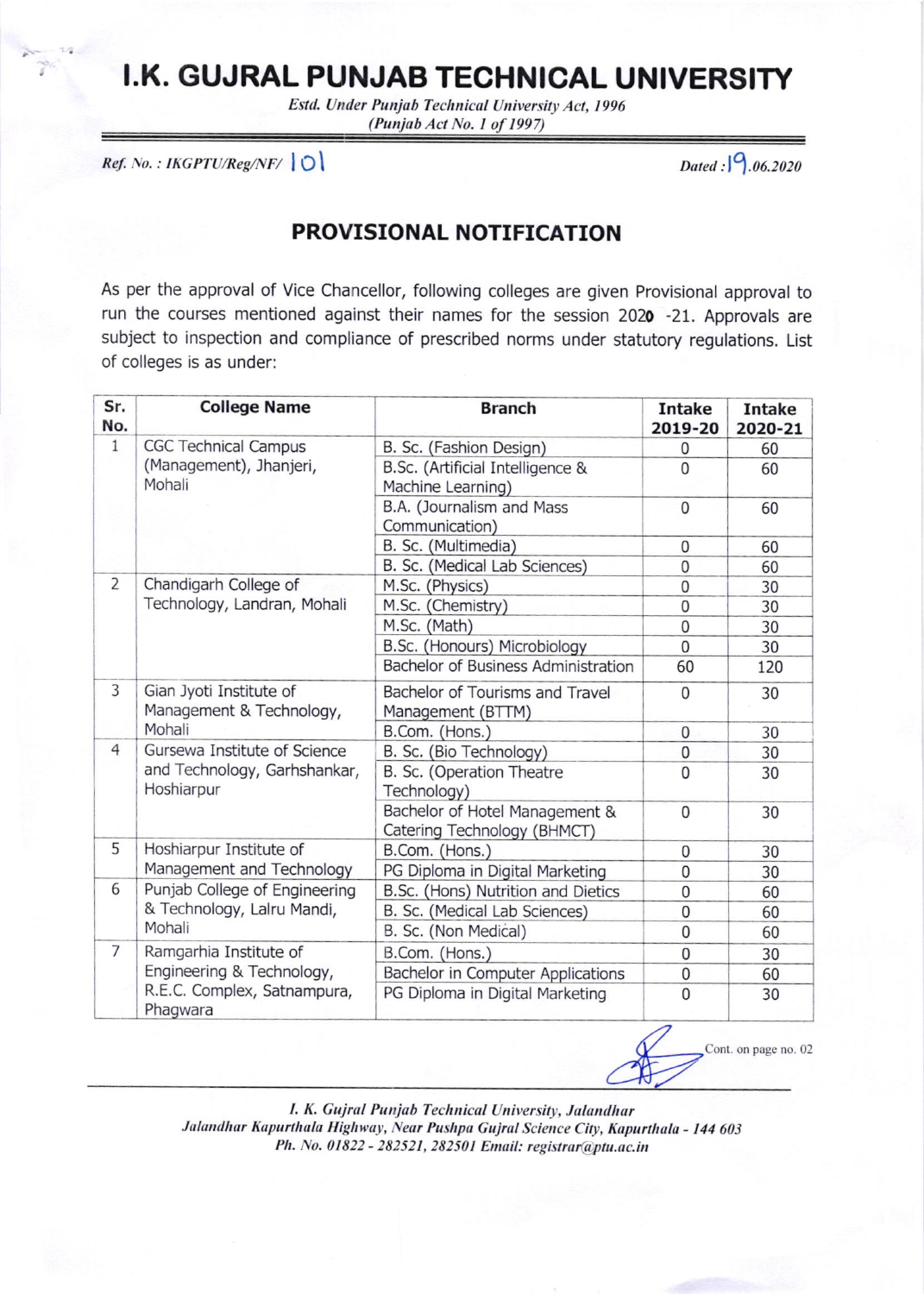## I.K. GUJRAL PUNJAB TECHNICAL UNIVERSITY

Estd. Under Punjab Technical University Act, 1996 (Punjab Act No. 1 of 1997)

 $Ref. No. : IKGPTU/Reg/NF/ \bigcirc$ 

Dated:  $9.06.2020$ 

## PROVISIONAL NOTIFICATION

As per the approval of Vice Chancellor, following colleges are given Provisional approval to run the courses mentioned against their names for the session 2020 -21. Approvals are subject to inspection and compliance of prescribed norms under statutory regulations. List of colleges is as under:

| Sr.<br>No.     | <b>College Name</b>                                                                            | <b>Branch</b>                                                 | <b>Intake</b><br>2019-20 | <b>Intake</b><br>2020-21 |
|----------------|------------------------------------------------------------------------------------------------|---------------------------------------------------------------|--------------------------|--------------------------|
| $\mathbf{1}$   | <b>CGC Technical Campus</b><br>(Management), Jhanjeri,<br>Mohali                               | B. Sc. (Fashion Design)                                       | 0                        | 60                       |
|                |                                                                                                | B.Sc. (Artificial Intelligence &<br>Machine Learning)         | $\Omega$                 | 60                       |
|                |                                                                                                | B.A. (Journalism and Mass<br>Communication)                   | $\mathbf 0$              | 60                       |
|                |                                                                                                | B. Sc. (Multimedia)                                           | $\mathbf 0$              | 60                       |
|                |                                                                                                | B. Sc. (Medical Lab Sciences)                                 | $\overline{0}$           | 60                       |
| $\overline{2}$ | Chandigarh College of<br>Technology, Landran, Mohali                                           | M.Sc. (Physics)                                               | $\mathbf 0$              | 30                       |
|                |                                                                                                | M.Sc. (Chemistry)                                             | $\overline{0}$           | 30                       |
|                |                                                                                                | M.Sc. (Math)                                                  | $\overline{0}$           | 30                       |
|                |                                                                                                | B.Sc. (Honours) Microbiology                                  | $\overline{0}$           | 30                       |
|                |                                                                                                | Bachelor of Business Administration                           | 60                       | 120                      |
| 3              | Gian Jyoti Institute of<br>Management & Technology,<br>Mohali                                  | Bachelor of Tourisms and Travel<br>Management (BTTM)          | $\overline{0}$           | 30                       |
|                |                                                                                                | B.Com. (Hons.)                                                | $\mathbf 0$              | 30                       |
| $\overline{4}$ | Gursewa Institute of Science<br>and Technology, Garhshankar,<br>Hoshiarpur                     | B. Sc. (Bio Technology)                                       | $\mathbf 0$              | 30                       |
|                |                                                                                                | B. Sc. (Operation Theatre<br>Technology)                      | $\Omega$                 | 30                       |
|                |                                                                                                | Bachelor of Hotel Management &<br>Catering Technology (BHMCT) | $\mathbf 0$              | 30                       |
| 5              | Hoshiarpur Institute of<br>Management and Technology                                           | B.Com. (Hons.)                                                | $\mathbf 0$              | 30                       |
|                |                                                                                                | PG Diploma in Digital Marketing                               | $\overline{0}$           | 30                       |
| 6              | Punjab College of Engineering<br>& Technology, Lalru Mandi,<br>Mohali                          | B.Sc. (Hons) Nutrition and Dietics                            | $\mathbf 0$              | 60                       |
|                |                                                                                                | B. Sc. (Medical Lab Sciences)                                 | $\overline{0}$           | 60                       |
|                |                                                                                                | B. Sc. (Non Medical)                                          | $\mathbf 0$              | 60                       |
| $\overline{7}$ | Ramgarhia Institute of<br>Engineering & Technology,<br>R.E.C. Complex, Satnampura,<br>Phagwara | B.Com. (Hons.)                                                | 0                        | 30                       |
|                |                                                                                                | Bachelor in Computer Applications                             | $\mathbf 0$              | 60                       |
|                |                                                                                                | PG Diploma in Digital Marketing                               | $\overline{0}$           | 30                       |



I. K. Gujral Punjab Technical University, Jalandhar Jalandhar Kapurthala Highway, Near Pushpa Gujral Science City, Kapurthala - 144 603 Ph. No. 01822 - 282521, 282501 Email: registrar@ptu.ac.in